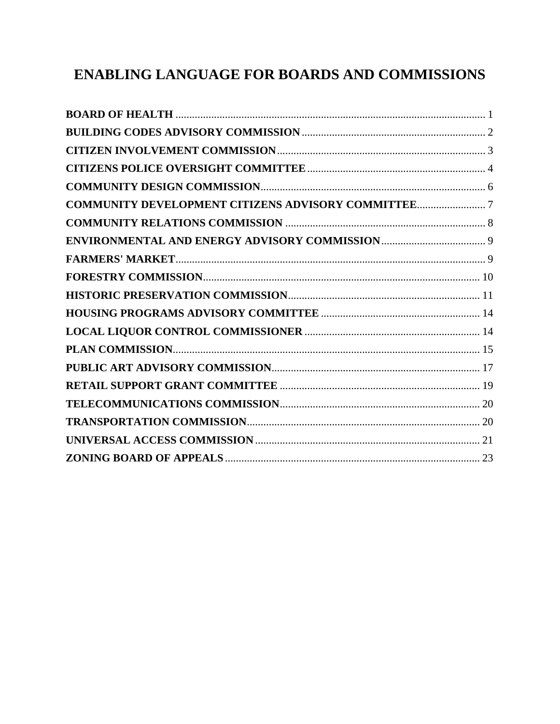# **ENABLING LANGUAGE FOR BOARDS AND COMMISSIONS**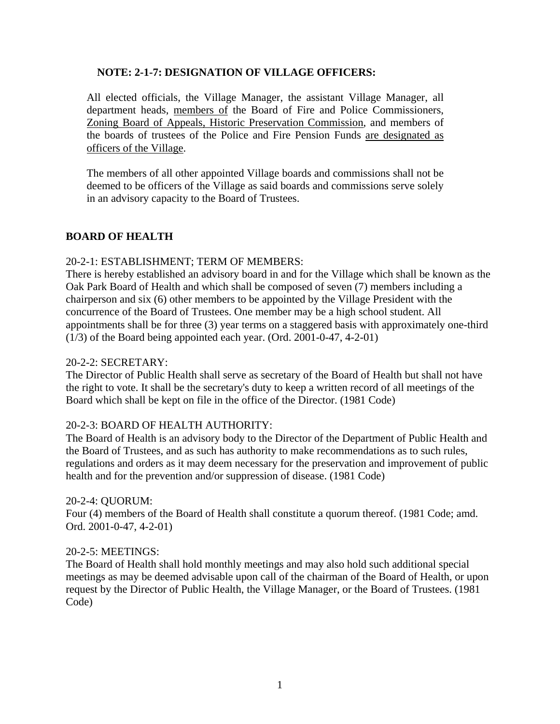## **NOTE: 2-1-7: DESIGNATION OF VILLAGE OFFICERS:**

All elected officials, the Village Manager, the assistant Village Manager, all department heads, members of the Board of Fire and Police Commissioners, Zoning Board of Appeals, Historic Preservation Commission, and members of the boards of trustees of the Police and Fire Pension Funds are designated as officers of the Village.

The members of all other appointed Village boards and commissions shall not be deemed to be officers of the Village as said boards and commissions serve solely in an advisory capacity to the Board of Trustees.

### **BOARD OF HEALTH**

#### 20-2-1: ESTABLISHMENT; TERM OF MEMBERS:

There is hereby established an advisory board in and for the Village which shall be known as the Oak Park Board of Health and which shall be composed of seven (7) members including a chairperson and six (6) other members to be appointed by the Village President with the concurrence of the Board of Trustees. One member may be a high school student. All appointments shall be for three (3) year terms on a staggered basis with approximately one-third (1/3) of the Board being appointed each year. (Ord. 2001-0-47, 4-2-01)

#### 20-2-2: SECRETARY:

The Director of Public Health shall serve as secretary of the Board of Health but shall not have the right to vote. It shall be the secretary's duty to keep a written record of all meetings of the Board which shall be kept on file in the office of the Director. (1981 Code)

#### 20-2-3: BOARD OF HEALTH AUTHORITY:

The Board of Health is an advisory body to the Director of the Department of Public Health and the Board of Trustees, and as such has authority to make recommendations as to such rules, regulations and orders as it may deem necessary for the preservation and improvement of public health and for the prevention and/or suppression of disease. (1981 Code)

#### 20-2-4: QUORUM:

Four (4) members of the Board of Health shall constitute a quorum thereof. (1981 Code; amd. Ord. 2001-0-47, 4-2-01)

#### 20-2-5: MEETINGS:

The Board of Health shall hold monthly meetings and may also hold such additional special meetings as may be deemed advisable upon call of the chairman of the Board of Health, or upon request by the Director of Public Health, the Village Manager, or the Board of Trustees. (1981 Code)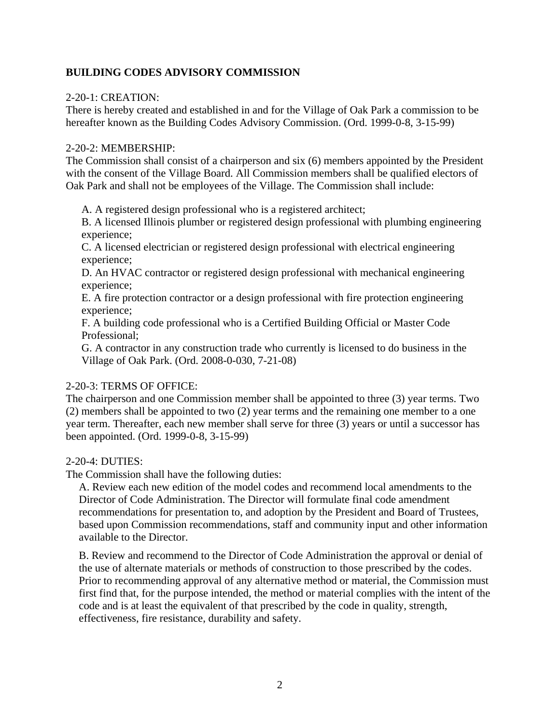# **BUILDING CODES ADVISORY COMMISSION**

### 2-20-1: CREATION:

There is hereby created and established in and for the Village of Oak Park a commission to be hereafter known as the Building Codes Advisory Commission. (Ord. 1999-0-8, 3-15-99)

#### 2-20-2: MEMBERSHIP:

The Commission shall consist of a chairperson and six (6) members appointed by the President with the consent of the Village Board. All Commission members shall be qualified electors of Oak Park and shall not be employees of the Village. The Commission shall include:

A. A registered design professional who is a registered architect;

B. A licensed Illinois plumber or registered design professional with plumbing engineering experience;

C. A licensed electrician or registered design professional with electrical engineering experience;

D. An HVAC contractor or registered design professional with mechanical engineering experience;

E. A fire protection contractor or a design professional with fire protection engineering experience;

F. A building code professional who is a Certified Building Official or Master Code Professional;

G. A contractor in any construction trade who currently is licensed to do business in the Village of Oak Park. (Ord. 2008-0-030, 7-21-08)

# 2-20-3: TERMS OF OFFICE:

The chairperson and one Commission member shall be appointed to three (3) year terms. Two (2) members shall be appointed to two (2) year terms and the remaining one member to a one year term. Thereafter, each new member shall serve for three (3) years or until a successor has been appointed. (Ord. 1999-0-8, 3-15-99)

# 2-20-4: DUTIES:

The Commission shall have the following duties:

A. Review each new edition of the model codes and recommend local amendments to the Director of Code Administration. The Director will formulate final code amendment recommendations for presentation to, and adoption by the President and Board of Trustees, based upon Commission recommendations, staff and community input and other information available to the Director.

B. Review and recommend to the Director of Code Administration the approval or denial of the use of alternate materials or methods of construction to those prescribed by the codes. Prior to recommending approval of any alternative method or material, the Commission must first find that, for the purpose intended, the method or material complies with the intent of the code and is at least the equivalent of that prescribed by the code in quality, strength, effectiveness, fire resistance, durability and safety.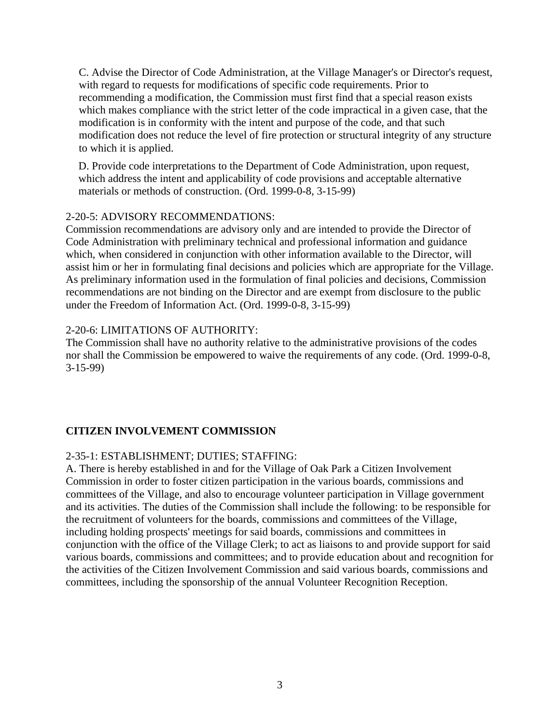C. Advise the Director of Code Administration, at the Village Manager's or Director's request, with regard to requests for modifications of specific code requirements. Prior to recommending a modification, the Commission must first find that a special reason exists which makes compliance with the strict letter of the code impractical in a given case, that the modification is in conformity with the intent and purpose of the code, and that such modification does not reduce the level of fire protection or structural integrity of any structure to which it is applied.

D. Provide code interpretations to the Department of Code Administration, upon request, which address the intent and applicability of code provisions and acceptable alternative materials or methods of construction. (Ord. 1999-0-8, 3-15-99)

### 2-20-5: ADVISORY RECOMMENDATIONS:

Commission recommendations are advisory only and are intended to provide the Director of Code Administration with preliminary technical and professional information and guidance which, when considered in conjunction with other information available to the Director, will assist him or her in formulating final decisions and policies which are appropriate for the Village. As preliminary information used in the formulation of final policies and decisions, Commission recommendations are not binding on the Director and are exempt from disclosure to the public under the Freedom of Information Act. (Ord. 1999-0-8, 3-15-99)

### 2-20-6: LIMITATIONS OF AUTHORITY:

The Commission shall have no authority relative to the administrative provisions of the codes nor shall the Commission be empowered to waive the requirements of any code. (Ord. 1999-0-8, 3-15-99)

# **CITIZEN INVOLVEMENT COMMISSION**

# 2-35-1: ESTABLISHMENT; DUTIES; STAFFING:

A. There is hereby established in and for the Village of Oak Park a Citizen Involvement Commission in order to foster citizen participation in the various boards, commissions and committees of the Village, and also to encourage volunteer participation in Village government and its activities. The duties of the Commission shall include the following: to be responsible for the recruitment of volunteers for the boards, commissions and committees of the Village, including holding prospects' meetings for said boards, commissions and committees in conjunction with the office of the Village Clerk; to act as liaisons to and provide support for said various boards, commissions and committees; and to provide education about and recognition for the activities of the Citizen Involvement Commission and said various boards, commissions and committees, including the sponsorship of the annual Volunteer Recognition Reception.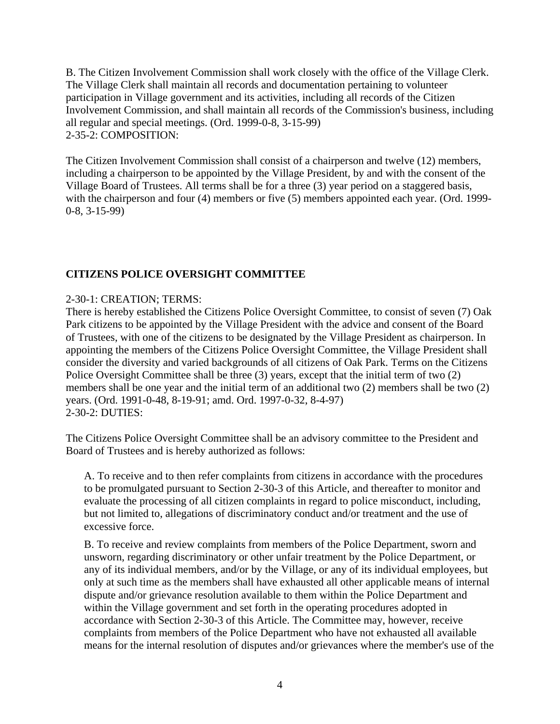B. The Citizen Involvement Commission shall work closely with the office of the Village Clerk. The Village Clerk shall maintain all records and documentation pertaining to volunteer participation in Village government and its activities, including all records of the Citizen Involvement Commission, and shall maintain all records of the Commission's business, including all regular and special meetings. (Ord. 1999-0-8, 3-15-99) 2-35-2: COMPOSITION:

The Citizen Involvement Commission shall consist of a chairperson and twelve (12) members, including a chairperson to be appointed by the Village President, by and with the consent of the Village Board of Trustees. All terms shall be for a three (3) year period on a staggered basis, with the chairperson and four (4) members or five (5) members appointed each year. (Ord. 1999-0-8, 3-15-99)

# **CITIZENS POLICE OVERSIGHT COMMITTEE**

### 2-30-1: CREATION; TERMS:

There is hereby established the Citizens Police Oversight Committee, to consist of seven (7) Oak Park citizens to be appointed by the Village President with the advice and consent of the Board of Trustees, with one of the citizens to be designated by the Village President as chairperson. In appointing the members of the Citizens Police Oversight Committee, the Village President shall consider the diversity and varied backgrounds of all citizens of Oak Park. Terms on the Citizens Police Oversight Committee shall be three (3) years, except that the initial term of two (2) members shall be one year and the initial term of an additional two (2) members shall be two (2) years. (Ord. 1991-0-48, 8-19-91; amd. Ord. 1997-0-32, 8-4-97) 2-30-2: DUTIES:

The Citizens Police Oversight Committee shall be an advisory committee to the President and Board of Trustees and is hereby authorized as follows:

A. To receive and to then refer complaints from citizens in accordance with the procedures to be promulgated pursuant to Section 2-30-3 of this Article, and thereafter to monitor and evaluate the processing of all citizen complaints in regard to police misconduct, including, but not limited to, allegations of discriminatory conduct and/or treatment and the use of excessive force.

B. To receive and review complaints from members of the Police Department, sworn and unsworn, regarding discriminatory or other unfair treatment by the Police Department, or any of its individual members, and/or by the Village, or any of its individual employees, but only at such time as the members shall have exhausted all other applicable means of internal dispute and/or grievance resolution available to them within the Police Department and within the Village government and set forth in the operating procedures adopted in accordance with Section 2-30-3 of this Article. The Committee may, however, receive complaints from members of the Police Department who have not exhausted all available means for the internal resolution of disputes and/or grievances where the member's use of the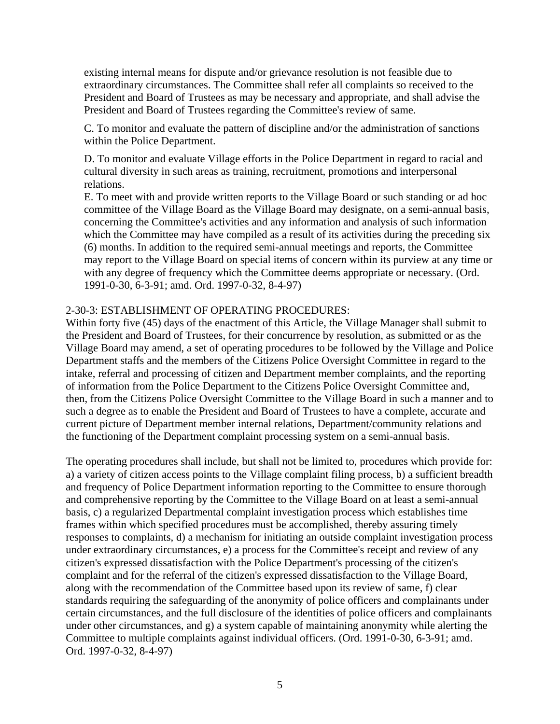existing internal means for dispute and/or grievance resolution is not feasible due to extraordinary circumstances. The Committee shall refer all complaints so received to the President and Board of Trustees as may be necessary and appropriate, and shall advise the President and Board of Trustees regarding the Committee's review of same.

C. To monitor and evaluate the pattern of discipline and/or the administration of sanctions within the Police Department.

D. To monitor and evaluate Village efforts in the Police Department in regard to racial and cultural diversity in such areas as training, recruitment, promotions and interpersonal relations.

E. To meet with and provide written reports to the Village Board or such standing or ad hoc committee of the Village Board as the Village Board may designate, on a semi-annual basis, concerning the Committee's activities and any information and analysis of such information which the Committee may have compiled as a result of its activities during the preceding six (6) months. In addition to the required semi-annual meetings and reports, the Committee may report to the Village Board on special items of concern within its purview at any time or with any degree of frequency which the Committee deems appropriate or necessary. (Ord. 1991-0-30, 6-3-91; amd. Ord. 1997-0-32, 8-4-97)

#### 2-30-3: ESTABLISHMENT OF OPERATING PROCEDURES:

Within forty five (45) days of the enactment of this Article, the Village Manager shall submit to the President and Board of Trustees, for their concurrence by resolution, as submitted or as the Village Board may amend, a set of operating procedures to be followed by the Village and Police Department staffs and the members of the Citizens Police Oversight Committee in regard to the intake, referral and processing of citizen and Department member complaints, and the reporting of information from the Police Department to the Citizens Police Oversight Committee and, then, from the Citizens Police Oversight Committee to the Village Board in such a manner and to such a degree as to enable the President and Board of Trustees to have a complete, accurate and current picture of Department member internal relations, Department/community relations and the functioning of the Department complaint processing system on a semi-annual basis.

The operating procedures shall include, but shall not be limited to, procedures which provide for: a) a variety of citizen access points to the Village complaint filing process, b) a sufficient breadth and frequency of Police Department information reporting to the Committee to ensure thorough and comprehensive reporting by the Committee to the Village Board on at least a semi-annual basis, c) a regularized Departmental complaint investigation process which establishes time frames within which specified procedures must be accomplished, thereby assuring timely responses to complaints, d) a mechanism for initiating an outside complaint investigation process under extraordinary circumstances, e) a process for the Committee's receipt and review of any citizen's expressed dissatisfaction with the Police Department's processing of the citizen's complaint and for the referral of the citizen's expressed dissatisfaction to the Village Board, along with the recommendation of the Committee based upon its review of same, f) clear standards requiring the safeguarding of the anonymity of police officers and complainants under certain circumstances, and the full disclosure of the identities of police officers and complainants under other circumstances, and g) a system capable of maintaining anonymity while alerting the Committee to multiple complaints against individual officers. (Ord. 1991-0-30, 6-3-91; amd. Ord. 1997-0-32, 8-4-97)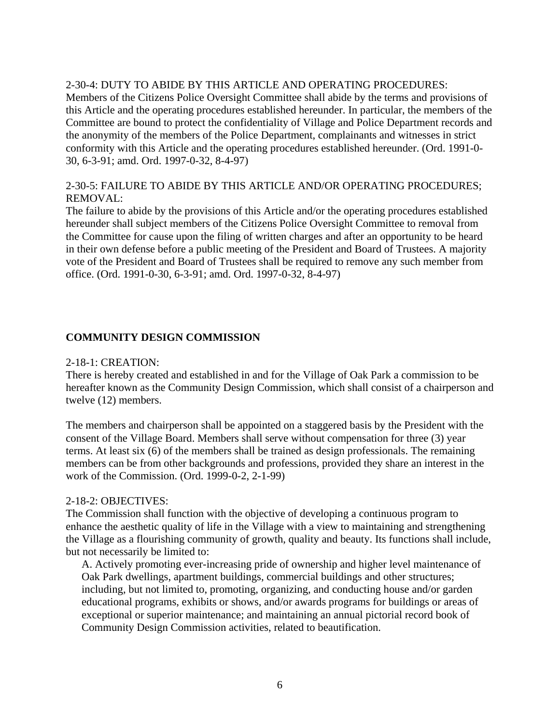#### 2-30-4: DUTY TO ABIDE BY THIS ARTICLE AND OPERATING PROCEDURES:

Members of the Citizens Police Oversight Committee shall abide by the terms and provisions of this Article and the operating procedures established hereunder. In particular, the members of the Committee are bound to protect the confidentiality of Village and Police Department records and the anonymity of the members of the Police Department, complainants and witnesses in strict conformity with this Article and the operating procedures established hereunder. (Ord. 1991-0- 30, 6-3-91; amd. Ord. 1997-0-32, 8-4-97)

# 2-30-5: FAILURE TO ABIDE BY THIS ARTICLE AND/OR OPERATING PROCEDURES; REMOVAL:

The failure to abide by the provisions of this Article and/or the operating procedures established hereunder shall subject members of the Citizens Police Oversight Committee to removal from the Committee for cause upon the filing of written charges and after an opportunity to be heard in their own defense before a public meeting of the President and Board of Trustees. A majority vote of the President and Board of Trustees shall be required to remove any such member from office. (Ord. 1991-0-30, 6-3-91; amd. Ord. 1997-0-32, 8-4-97)

# **COMMUNITY DESIGN COMMISSION**

#### 2-18-1: CREATION:

There is hereby created and established in and for the Village of Oak Park a commission to be hereafter known as the Community Design Commission, which shall consist of a chairperson and twelve (12) members.

The members and chairperson shall be appointed on a staggered basis by the President with the consent of the Village Board. Members shall serve without compensation for three (3) year terms. At least six (6) of the members shall be trained as design professionals. The remaining members can be from other backgrounds and professions, provided they share an interest in the work of the Commission. (Ord. 1999-0-2, 2-1-99)

#### 2-18-2: OBJECTIVES:

The Commission shall function with the objective of developing a continuous program to enhance the aesthetic quality of life in the Village with a view to maintaining and strengthening the Village as a flourishing community of growth, quality and beauty. Its functions shall include, but not necessarily be limited to:

A. Actively promoting ever-increasing pride of ownership and higher level maintenance of Oak Park dwellings, apartment buildings, commercial buildings and other structures; including, but not limited to, promoting, organizing, and conducting house and/or garden educational programs, exhibits or shows, and/or awards programs for buildings or areas of exceptional or superior maintenance; and maintaining an annual pictorial record book of Community Design Commission activities, related to beautification.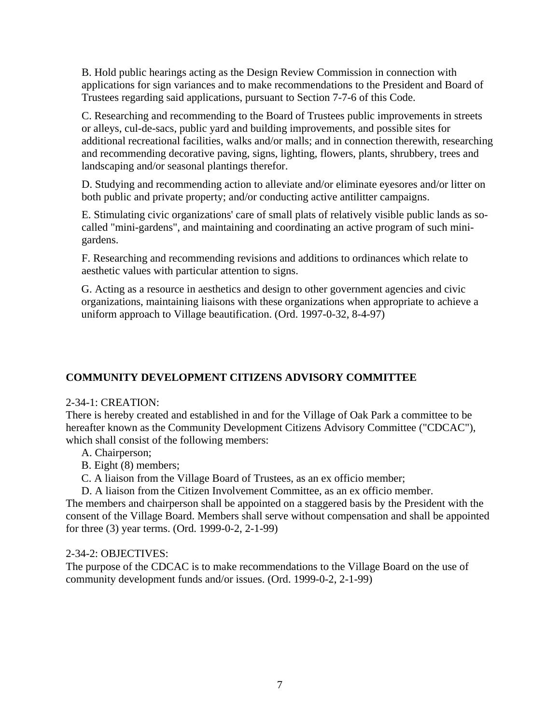B. Hold public hearings acting as the Design Review Commission in connection with applications for sign variances and to make recommendations to the President and Board of Trustees regarding said applications, pursuant to Section 7-7-6 of this Code.

C. Researching and recommending to the Board of Trustees public improvements in streets or alleys, cul-de-sacs, public yard and building improvements, and possible sites for additional recreational facilities, walks and/or malls; and in connection therewith, researching and recommending decorative paving, signs, lighting, flowers, plants, shrubbery, trees and landscaping and/or seasonal plantings therefor.

D. Studying and recommending action to alleviate and/or eliminate eyesores and/or litter on both public and private property; and/or conducting active antilitter campaigns.

E. Stimulating civic organizations' care of small plats of relatively visible public lands as socalled "mini-gardens", and maintaining and coordinating an active program of such minigardens.

F. Researching and recommending revisions and additions to ordinances which relate to aesthetic values with particular attention to signs.

G. Acting as a resource in aesthetics and design to other government agencies and civic organizations, maintaining liaisons with these organizations when appropriate to achieve a uniform approach to Village beautification. (Ord. 1997-0-32, 8-4-97)

# **COMMUNITY DEVELOPMENT CITIZENS ADVISORY COMMITTEE**

#### 2-34-1: CREATION:

There is hereby created and established in and for the Village of Oak Park a committee to be hereafter known as the Community Development Citizens Advisory Committee ("CDCAC"), which shall consist of the following members:

- A. Chairperson;
- B. Eight (8) members;
- C. A liaison from the Village Board of Trustees, as an ex officio member;
- D. A liaison from the Citizen Involvement Committee, as an ex officio member.

The members and chairperson shall be appointed on a staggered basis by the President with the consent of the Village Board. Members shall serve without compensation and shall be appointed for three (3) year terms. (Ord. 1999-0-2, 2-1-99)

#### 2-34-2: OBJECTIVES:

The purpose of the CDCAC is to make recommendations to the Village Board on the use of community development funds and/or issues. (Ord. 1999-0-2, 2-1-99)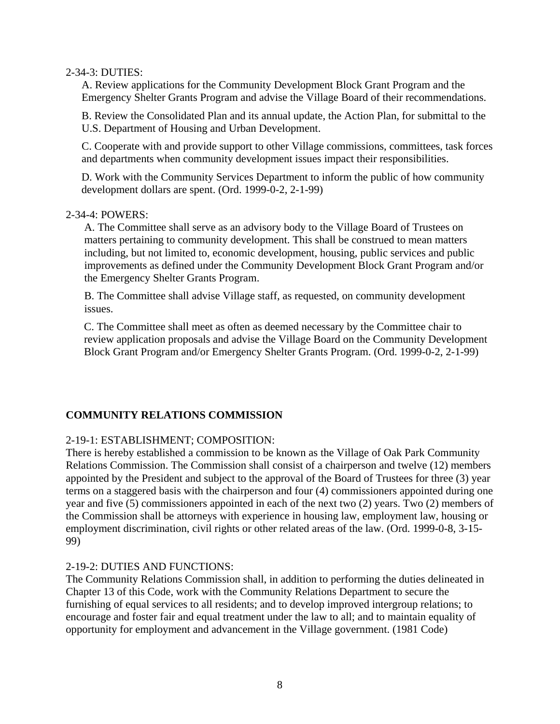2-34-3: DUTIES:

A. Review applications for the Community Development Block Grant Program and the Emergency Shelter Grants Program and advise the Village Board of their recommendations.

B. Review the Consolidated Plan and its annual update, the Action Plan, for submittal to the U.S. Department of Housing and Urban Development.

C. Cooperate with and provide support to other Village commissions, committees, task forces and departments when community development issues impact their responsibilities.

D. Work with the Community Services Department to inform the public of how community development dollars are spent. (Ord. 1999-0-2, 2-1-99)

#### 2-34-4: POWERS:

A. The Committee shall serve as an advisory body to the Village Board of Trustees on matters pertaining to community development. This shall be construed to mean matters including, but not limited to, economic development, housing, public services and public improvements as defined under the Community Development Block Grant Program and/or the Emergency Shelter Grants Program.

B. The Committee shall advise Village staff, as requested, on community development issues.

C. The Committee shall meet as often as deemed necessary by the Committee chair to review application proposals and advise the Village Board on the Community Development Block Grant Program and/or Emergency Shelter Grants Program. (Ord. 1999-0-2, 2-1-99)

# **COMMUNITY RELATIONS COMMISSION**

# 2-19-1: ESTABLISHMENT; COMPOSITION:

There is hereby established a commission to be known as the Village of Oak Park Community Relations Commission. The Commission shall consist of a chairperson and twelve (12) members appointed by the President and subject to the approval of the Board of Trustees for three (3) year terms on a staggered basis with the chairperson and four (4) commissioners appointed during one year and five (5) commissioners appointed in each of the next two (2) years. Two (2) members of the Commission shall be attorneys with experience in housing law, employment law, housing or employment discrimination, civil rights or other related areas of the law. (Ord. 1999-0-8, 3-15- 99)

#### 2-19-2: DUTIES AND FUNCTIONS:

The Community Relations Commission shall, in addition to performing the duties delineated in Chapter 13 of this Code, work with the Community Relations Department to secure the furnishing of equal services to all residents; and to develop improved intergroup relations; to encourage and foster fair and equal treatment under the law to all; and to maintain equality of opportunity for employment and advancement in the Village government. (1981 Code)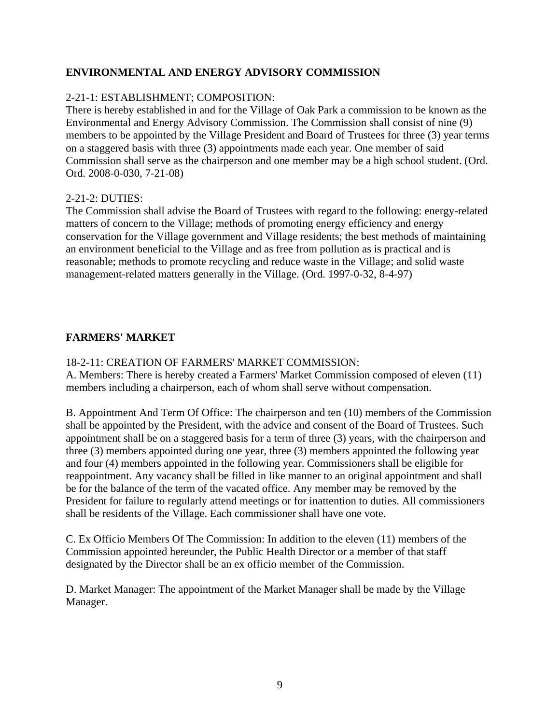# **ENVIRONMENTAL AND ENERGY ADVISORY COMMISSION**

# 2-21-1: ESTABLISHMENT; COMPOSITION:

There is hereby established in and for the Village of Oak Park a commission to be known as the Environmental and Energy Advisory Commission. The Commission shall consist of nine (9) members to be appointed by the Village President and Board of Trustees for three (3) year terms on a staggered basis with three (3) appointments made each year. One member of said Commission shall serve as the chairperson and one member may be a high school student. (Ord. Ord. 2008-0-030, 7-21-08)

# 2-21-2: DUTIES:

The Commission shall advise the Board of Trustees with regard to the following: energy-related matters of concern to the Village; methods of promoting energy efficiency and energy conservation for the Village government and Village residents; the best methods of maintaining an environment beneficial to the Village and as free from pollution as is practical and is reasonable; methods to promote recycling and reduce waste in the Village; and solid waste management-related matters generally in the Village. (Ord. 1997-0-32, 8-4-97)

# **FARMERS' MARKET**

## 18-2-11: CREATION OF FARMERS' MARKET COMMISSION:

A. Members: There is hereby created a Farmers' Market Commission composed of eleven (11) members including a chairperson, each of whom shall serve without compensation.

B. Appointment And Term Of Office: The chairperson and ten (10) members of the Commission shall be appointed by the President, with the advice and consent of the Board of Trustees. Such appointment shall be on a staggered basis for a term of three (3) years, with the chairperson and three (3) members appointed during one year, three (3) members appointed the following year and four (4) members appointed in the following year. Commissioners shall be eligible for reappointment. Any vacancy shall be filled in like manner to an original appointment and shall be for the balance of the term of the vacated office. Any member may be removed by the President for failure to regularly attend meetings or for inattention to duties. All commissioners shall be residents of the Village. Each commissioner shall have one vote.

C. Ex Officio Members Of The Commission: In addition to the eleven (11) members of the Commission appointed hereunder, the Public Health Director or a member of that staff designated by the Director shall be an ex officio member of the Commission.

D. Market Manager: The appointment of the Market Manager shall be made by the Village Manager.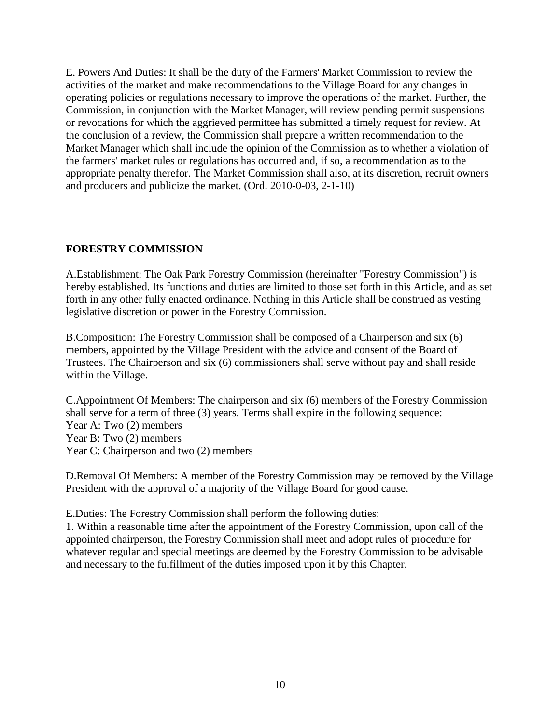E. Powers And Duties: It shall be the duty of the Farmers' Market Commission to review the activities of the market and make recommendations to the Village Board for any changes in operating policies or regulations necessary to improve the operations of the market. Further, the Commission, in conjunction with the Market Manager, will review pending permit suspensions or revocations for which the aggrieved permittee has submitted a timely request for review. At the conclusion of a review, the Commission shall prepare a written recommendation to the Market Manager which shall include the opinion of the Commission as to whether a violation of the farmers' market rules or regulations has occurred and, if so, a recommendation as to the appropriate penalty therefor. The Market Commission shall also, at its discretion, recruit owners and producers and publicize the market. (Ord. 2010-0-03, 2-1-10)

# **FORESTRY COMMISSION**

A.Establishment: The Oak Park Forestry Commission (hereinafter "Forestry Commission") is hereby established. Its functions and duties are limited to those set forth in this Article, and as set forth in any other fully enacted ordinance. Nothing in this Article shall be construed as vesting legislative discretion or power in the Forestry Commission.

B.Composition: The Forestry Commission shall be composed of a Chairperson and six (6) members, appointed by the Village President with the advice and consent of the Board of Trustees. The Chairperson and six (6) commissioners shall serve without pay and shall reside within the Village.

C.Appointment Of Members: The chairperson and six (6) members of the Forestry Commission shall serve for a term of three (3) years. Terms shall expire in the following sequence: Year A: Two (2) members Year B: Two (2) members Year C: Chairperson and two  $(2)$  members

D.Removal Of Members: A member of the Forestry Commission may be removed by the Village President with the approval of a majority of the Village Board for good cause.

E.Duties: The Forestry Commission shall perform the following duties:

1. Within a reasonable time after the appointment of the Forestry Commission, upon call of the appointed chairperson, the Forestry Commission shall meet and adopt rules of procedure for whatever regular and special meetings are deemed by the Forestry Commission to be advisable and necessary to the fulfillment of the duties imposed upon it by this Chapter.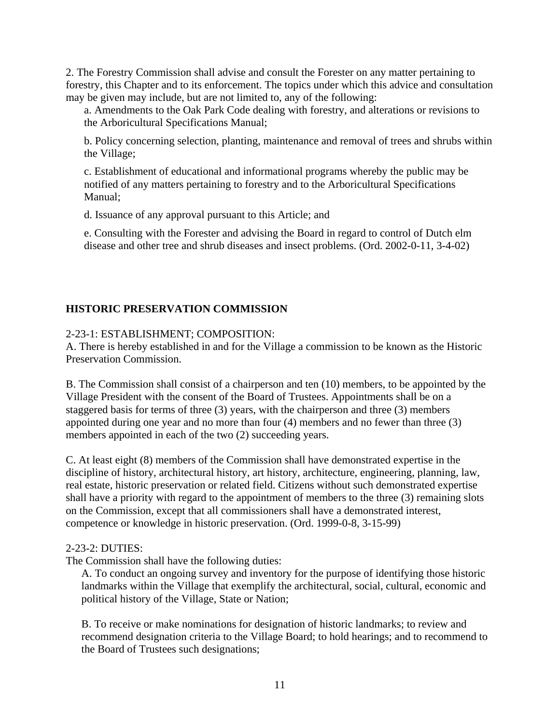2. The Forestry Commission shall advise and consult the Forester on any matter pertaining to forestry, this Chapter and to its enforcement. The topics under which this advice and consultation may be given may include, but are not limited to, any of the following:

a. Amendments to the Oak Park Code dealing with forestry, and alterations or revisions to the Arboricultural Specifications Manual;

b. Policy concerning selection, planting, maintenance and removal of trees and shrubs within the Village;

c. Establishment of educational and informational programs whereby the public may be notified of any matters pertaining to forestry and to the Arboricultural Specifications Manual;

d. Issuance of any approval pursuant to this Article; and

e. Consulting with the Forester and advising the Board in regard to control of Dutch elm disease and other tree and shrub diseases and insect problems. (Ord. 2002-0-11, 3-4-02)

# **HISTORIC PRESERVATION COMMISSION**

#### 2-23-1: ESTABLISHMENT; COMPOSITION:

A. There is hereby established in and for the Village a commission to be known as the Historic Preservation Commission.

B. The Commission shall consist of a chairperson and ten (10) members, to be appointed by the Village President with the consent of the Board of Trustees. Appointments shall be on a staggered basis for terms of three (3) years, with the chairperson and three (3) members appointed during one year and no more than four (4) members and no fewer than three (3) members appointed in each of the two (2) succeeding years.

C. At least eight (8) members of the Commission shall have demonstrated expertise in the discipline of history, architectural history, art history, architecture, engineering, planning, law, real estate, historic preservation or related field. Citizens without such demonstrated expertise shall have a priority with regard to the appointment of members to the three (3) remaining slots on the Commission, except that all commissioners shall have a demonstrated interest, competence or knowledge in historic preservation. (Ord. 1999-0-8, 3-15-99)

#### 2-23-2: DUTIES:

The Commission shall have the following duties:

A. To conduct an ongoing survey and inventory for the purpose of identifying those historic landmarks within the Village that exemplify the architectural, social, cultural, economic and political history of the Village, State or Nation;

B. To receive or make nominations for designation of historic landmarks; to review and recommend designation criteria to the Village Board; to hold hearings; and to recommend to the Board of Trustees such designations;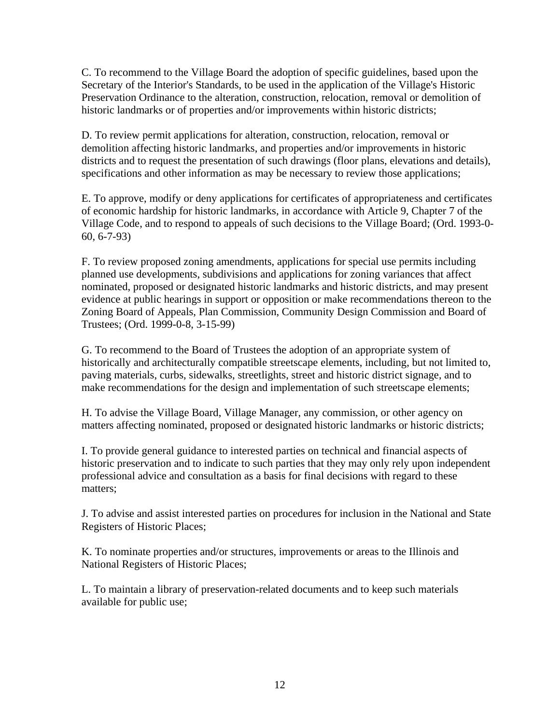C. To recommend to the Village Board the adoption of specific guidelines, based upon the Secretary of the Interior's Standards, to be used in the application of the Village's Historic Preservation Ordinance to the alteration, construction, relocation, removal or demolition of historic landmarks or of properties and/or improvements within historic districts;

D. To review permit applications for alteration, construction, relocation, removal or demolition affecting historic landmarks, and properties and/or improvements in historic districts and to request the presentation of such drawings (floor plans, elevations and details), specifications and other information as may be necessary to review those applications;

E. To approve, modify or deny applications for certificates of appropriateness and certificates of economic hardship for historic landmarks, in accordance with Article 9, Chapter 7 of the Village Code, and to respond to appeals of such decisions to the Village Board; (Ord. 1993-0- 60, 6-7-93)

F. To review proposed zoning amendments, applications for special use permits including planned use developments, subdivisions and applications for zoning variances that affect nominated, proposed or designated historic landmarks and historic districts, and may present evidence at public hearings in support or opposition or make recommendations thereon to the Zoning Board of Appeals, Plan Commission, Community Design Commission and Board of Trustees; (Ord. 1999-0-8, 3-15-99)

G. To recommend to the Board of Trustees the adoption of an appropriate system of historically and architecturally compatible streetscape elements, including, but not limited to, paving materials, curbs, sidewalks, streetlights, street and historic district signage, and to make recommendations for the design and implementation of such streetscape elements;

H. To advise the Village Board, Village Manager, any commission, or other agency on matters affecting nominated, proposed or designated historic landmarks or historic districts;

I. To provide general guidance to interested parties on technical and financial aspects of historic preservation and to indicate to such parties that they may only rely upon independent professional advice and consultation as a basis for final decisions with regard to these matters;

J. To advise and assist interested parties on procedures for inclusion in the National and State Registers of Historic Places;

K. To nominate properties and/or structures, improvements or areas to the Illinois and National Registers of Historic Places;

L. To maintain a library of preservation-related documents and to keep such materials available for public use;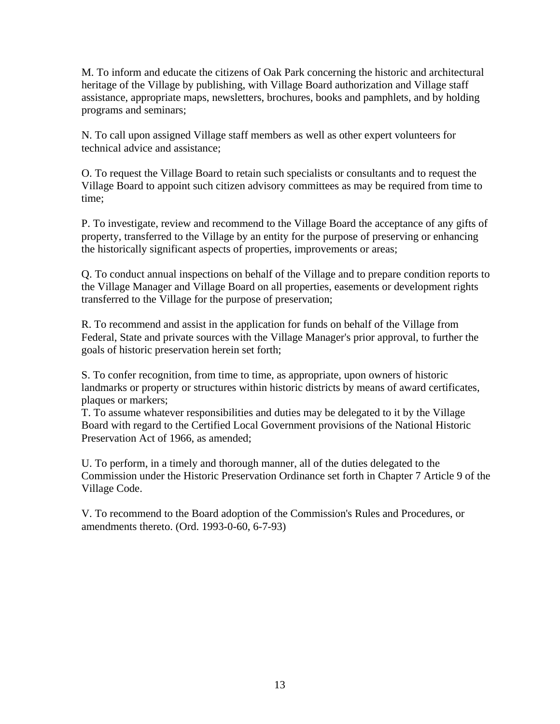M. To inform and educate the citizens of Oak Park concerning the historic and architectural heritage of the Village by publishing, with Village Board authorization and Village staff assistance, appropriate maps, newsletters, brochures, books and pamphlets, and by holding programs and seminars;

N. To call upon assigned Village staff members as well as other expert volunteers for technical advice and assistance;

O. To request the Village Board to retain such specialists or consultants and to request the Village Board to appoint such citizen advisory committees as may be required from time to time;

P. To investigate, review and recommend to the Village Board the acceptance of any gifts of property, transferred to the Village by an entity for the purpose of preserving or enhancing the historically significant aspects of properties, improvements or areas;

Q. To conduct annual inspections on behalf of the Village and to prepare condition reports to the Village Manager and Village Board on all properties, easements or development rights transferred to the Village for the purpose of preservation;

R. To recommend and assist in the application for funds on behalf of the Village from Federal, State and private sources with the Village Manager's prior approval, to further the goals of historic preservation herein set forth;

S. To confer recognition, from time to time, as appropriate, upon owners of historic landmarks or property or structures within historic districts by means of award certificates, plaques or markers;

T. To assume whatever responsibilities and duties may be delegated to it by the Village Board with regard to the Certified Local Government provisions of the National Historic Preservation Act of 1966, as amended;

U. To perform, in a timely and thorough manner, all of the duties delegated to the Commission under the Historic Preservation Ordinance set forth in Chapter 7 Article 9 of the Village Code.

V. To recommend to the Board adoption of the Commission's Rules and Procedures, or amendments thereto. (Ord. 1993-0-60, 6-7-93)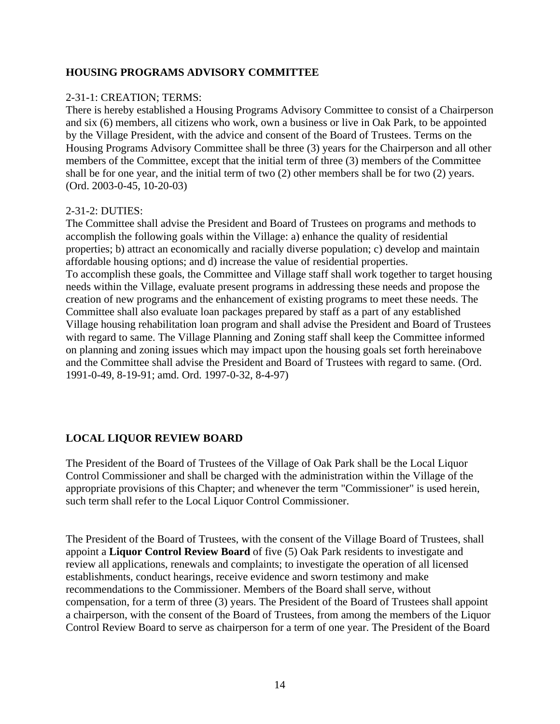#### **HOUSING PROGRAMS ADVISORY COMMITTEE**

#### 2-31-1: CREATION; TERMS:

There is hereby established a Housing Programs Advisory Committee to consist of a Chairperson and six (6) members, all citizens who work, own a business or live in Oak Park, to be appointed by the Village President, with the advice and consent of the Board of Trustees. Terms on the Housing Programs Advisory Committee shall be three (3) years for the Chairperson and all other members of the Committee, except that the initial term of three (3) members of the Committee shall be for one year, and the initial term of two (2) other members shall be for two (2) years. (Ord. 2003-0-45, 10-20-03)

### 2-31-2: DUTIES:

The Committee shall advise the President and Board of Trustees on programs and methods to accomplish the following goals within the Village: a) enhance the quality of residential properties; b) attract an economically and racially diverse population; c) develop and maintain affordable housing options; and d) increase the value of residential properties. To accomplish these goals, the Committee and Village staff shall work together to target housing needs within the Village, evaluate present programs in addressing these needs and propose the creation of new programs and the enhancement of existing programs to meet these needs. The Committee shall also evaluate loan packages prepared by staff as a part of any established Village housing rehabilitation loan program and shall advise the President and Board of Trustees with regard to same. The Village Planning and Zoning staff shall keep the Committee informed on planning and zoning issues which may impact upon the housing goals set forth hereinabove and the Committee shall advise the President and Board of Trustees with regard to same. (Ord. 1991-0-49, 8-19-91; amd. Ord. 1997-0-32, 8-4-97)

# **LOCAL LIQUOR REVIEW BOARD**

The President of the Board of Trustees of the Village of Oak Park shall be the Local Liquor Control Commissioner and shall be charged with the administration within the Village of the appropriate provisions of this Chapter; and whenever the term "Commissioner" is used herein, such term shall refer to the Local Liquor Control Commissioner.

The President of the Board of Trustees, with the consent of the Village Board of Trustees, shall appoint a **Liquor Control Review Board** of five (5) Oak Park residents to investigate and review all applications, renewals and complaints; to investigate the operation of all licensed establishments, conduct hearings, receive evidence and sworn testimony and make recommendations to the Commissioner. Members of the Board shall serve, without compensation, for a term of three (3) years. The President of the Board of Trustees shall appoint a chairperson, with the consent of the Board of Trustees, from among the members of the Liquor Control Review Board to serve as chairperson for a term of one year. The President of the Board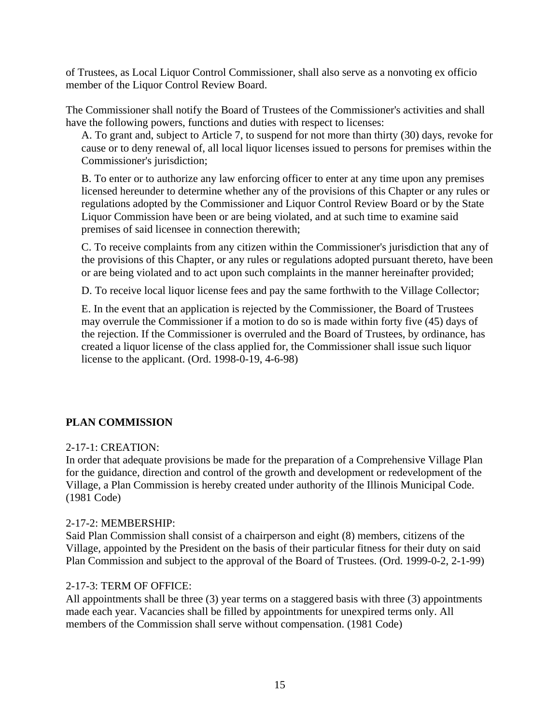of Trustees, as Local Liquor Control Commissioner, shall also serve as a nonvoting ex officio member of the Liquor Control Review Board.

The Commissioner shall notify the Board of Trustees of the Commissioner's activities and shall have the following powers, functions and duties with respect to licenses:

A. To grant and, subject to Article 7, to suspend for not more than thirty (30) days, revoke for cause or to deny renewal of, all local liquor licenses issued to persons for premises within the Commissioner's jurisdiction;

B. To enter or to authorize any law enforcing officer to enter at any time upon any premises licensed hereunder to determine whether any of the provisions of this Chapter or any rules or regulations adopted by the Commissioner and Liquor Control Review Board or by the State Liquor Commission have been or are being violated, and at such time to examine said premises of said licensee in connection therewith;

C. To receive complaints from any citizen within the Commissioner's jurisdiction that any of the provisions of this Chapter, or any rules or regulations adopted pursuant thereto, have been or are being violated and to act upon such complaints in the manner hereinafter provided;

D. To receive local liquor license fees and pay the same forthwith to the Village Collector;

E. In the event that an application is rejected by the Commissioner, the Board of Trustees may overrule the Commissioner if a motion to do so is made within forty five (45) days of the rejection. If the Commissioner is overruled and the Board of Trustees, by ordinance, has created a liquor license of the class applied for, the Commissioner shall issue such liquor license to the applicant. (Ord. 1998-0-19, 4-6-98)

# **PLAN COMMISSION**

# 2-17-1: CREATION:

In order that adequate provisions be made for the preparation of a Comprehensive Village Plan for the guidance, direction and control of the growth and development or redevelopment of the Village, a Plan Commission is hereby created under authority of the Illinois Municipal Code. (1981 Code)

#### 2-17-2: MEMBERSHIP:

Said Plan Commission shall consist of a chairperson and eight (8) members, citizens of the Village, appointed by the President on the basis of their particular fitness for their duty on said Plan Commission and subject to the approval of the Board of Trustees. (Ord. 1999-0-2, 2-1-99)

# 2-17-3: TERM OF OFFICE:

All appointments shall be three (3) year terms on a staggered basis with three (3) appointments made each year. Vacancies shall be filled by appointments for unexpired terms only. All members of the Commission shall serve without compensation. (1981 Code)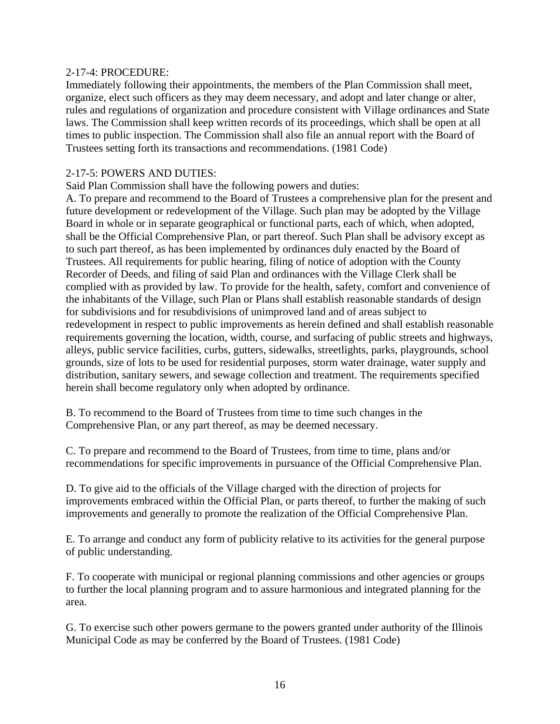#### 2-17-4: PROCEDURE:

Immediately following their appointments, the members of the Plan Commission shall meet, organize, elect such officers as they may deem necessary, and adopt and later change or alter, rules and regulations of organization and procedure consistent with Village ordinances and State laws. The Commission shall keep written records of its proceedings, which shall be open at all times to public inspection. The Commission shall also file an annual report with the Board of Trustees setting forth its transactions and recommendations. (1981 Code)

#### 2-17-5: POWERS AND DUTIES:

Said Plan Commission shall have the following powers and duties:

A. To prepare and recommend to the Board of Trustees a comprehensive plan for the present and future development or redevelopment of the Village. Such plan may be adopted by the Village Board in whole or in separate geographical or functional parts, each of which, when adopted, shall be the Official Comprehensive Plan, or part thereof. Such Plan shall be advisory except as to such part thereof, as has been implemented by ordinances duly enacted by the Board of Trustees. All requirements for public hearing, filing of notice of adoption with the County Recorder of Deeds, and filing of said Plan and ordinances with the Village Clerk shall be complied with as provided by law. To provide for the health, safety, comfort and convenience of the inhabitants of the Village, such Plan or Plans shall establish reasonable standards of design for subdivisions and for resubdivisions of unimproved land and of areas subject to redevelopment in respect to public improvements as herein defined and shall establish reasonable requirements governing the location, width, course, and surfacing of public streets and highways, alleys, public service facilities, curbs, gutters, sidewalks, streetlights, parks, playgrounds, school grounds, size of lots to be used for residential purposes, storm water drainage, water supply and distribution, sanitary sewers, and sewage collection and treatment. The requirements specified herein shall become regulatory only when adopted by ordinance.

B. To recommend to the Board of Trustees from time to time such changes in the Comprehensive Plan, or any part thereof, as may be deemed necessary.

C. To prepare and recommend to the Board of Trustees, from time to time, plans and/or recommendations for specific improvements in pursuance of the Official Comprehensive Plan.

D. To give aid to the officials of the Village charged with the direction of projects for improvements embraced within the Official Plan, or parts thereof, to further the making of such improvements and generally to promote the realization of the Official Comprehensive Plan.

E. To arrange and conduct any form of publicity relative to its activities for the general purpose of public understanding.

F. To cooperate with municipal or regional planning commissions and other agencies or groups to further the local planning program and to assure harmonious and integrated planning for the area.

G. To exercise such other powers germane to the powers granted under authority of the Illinois Municipal Code as may be conferred by the Board of Trustees. (1981 Code)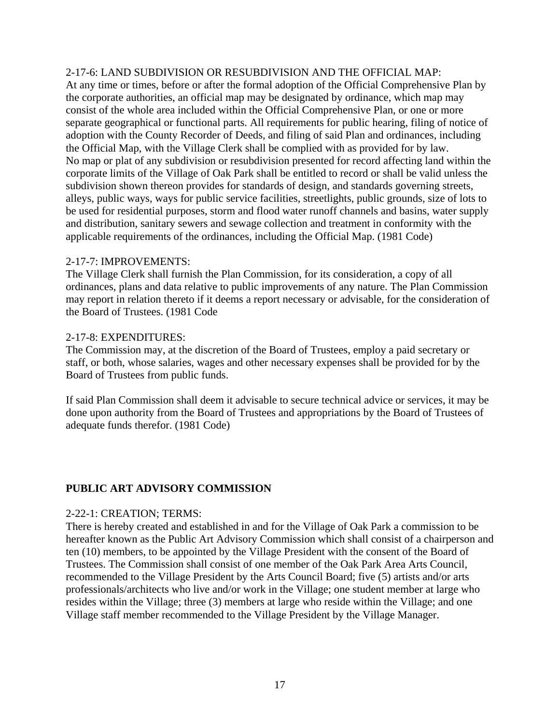#### 2-17-6: LAND SUBDIVISION OR RESUBDIVISION AND THE OFFICIAL MAP:

At any time or times, before or after the formal adoption of the Official Comprehensive Plan by the corporate authorities, an official map may be designated by ordinance, which map may consist of the whole area included within the Official Comprehensive Plan, or one or more separate geographical or functional parts. All requirements for public hearing, filing of notice of adoption with the County Recorder of Deeds, and filing of said Plan and ordinances, including the Official Map, with the Village Clerk shall be complied with as provided for by law. No map or plat of any subdivision or resubdivision presented for record affecting land within the corporate limits of the Village of Oak Park shall be entitled to record or shall be valid unless the subdivision shown thereon provides for standards of design, and standards governing streets, alleys, public ways, ways for public service facilities, streetlights, public grounds, size of lots to be used for residential purposes, storm and flood water runoff channels and basins, water supply and distribution, sanitary sewers and sewage collection and treatment in conformity with the applicable requirements of the ordinances, including the Official Map. (1981 Code)

#### 2-17-7: IMPROVEMENTS:

The Village Clerk shall furnish the Plan Commission, for its consideration, a copy of all ordinances, plans and data relative to public improvements of any nature. The Plan Commission may report in relation thereto if it deems a report necessary or advisable, for the consideration of the Board of Trustees. (1981 Code

#### 2-17-8: EXPENDITURES:

The Commission may, at the discretion of the Board of Trustees, employ a paid secretary or staff, or both, whose salaries, wages and other necessary expenses shall be provided for by the Board of Trustees from public funds.

If said Plan Commission shall deem it advisable to secure technical advice or services, it may be done upon authority from the Board of Trustees and appropriations by the Board of Trustees of adequate funds therefor. (1981 Code)

# **PUBLIC ART ADVISORY COMMISSION**

#### 2-22-1: CREATION; TERMS:

There is hereby created and established in and for the Village of Oak Park a commission to be hereafter known as the Public Art Advisory Commission which shall consist of a chairperson and ten (10) members, to be appointed by the Village President with the consent of the Board of Trustees. The Commission shall consist of one member of the Oak Park Area Arts Council, recommended to the Village President by the Arts Council Board; five (5) artists and/or arts professionals/architects who live and/or work in the Village; one student member at large who resides within the Village; three (3) members at large who reside within the Village; and one Village staff member recommended to the Village President by the Village Manager.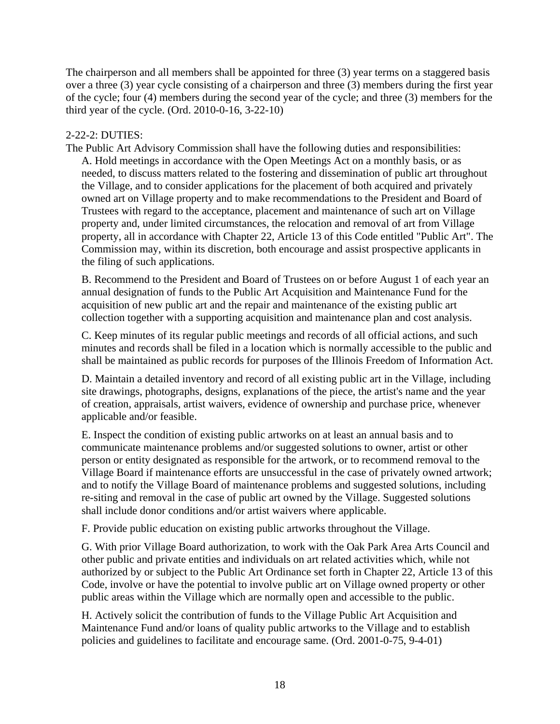The chairperson and all members shall be appointed for three (3) year terms on a staggered basis over a three (3) year cycle consisting of a chairperson and three (3) members during the first year of the cycle; four (4) members during the second year of the cycle; and three (3) members for the third year of the cycle. (Ord. 2010-0-16, 3-22-10)

# 2-22-2: DUTIES:

The Public Art Advisory Commission shall have the following duties and responsibilities: A. Hold meetings in accordance with the Open Meetings Act on a monthly basis, or as needed, to discuss matters related to the fostering and dissemination of public art throughout the Village, and to consider applications for the placement of both acquired and privately owned art on Village property and to make recommendations to the President and Board of Trustees with regard to the acceptance, placement and maintenance of such art on Village property and, under limited circumstances, the relocation and removal of art from Village property, all in accordance with Chapter 22, Article 13 of this Code entitled "Public Art". The Commission may, within its discretion, both encourage and assist prospective applicants in the filing of such applications.

B. Recommend to the President and Board of Trustees on or before August 1 of each year an annual designation of funds to the Public Art Acquisition and Maintenance Fund for the acquisition of new public art and the repair and maintenance of the existing public art collection together with a supporting acquisition and maintenance plan and cost analysis.

C. Keep minutes of its regular public meetings and records of all official actions, and such minutes and records shall be filed in a location which is normally accessible to the public and shall be maintained as public records for purposes of the Illinois Freedom of Information Act.

D. Maintain a detailed inventory and record of all existing public art in the Village, including site drawings, photographs, designs, explanations of the piece, the artist's name and the year of creation, appraisals, artist waivers, evidence of ownership and purchase price, whenever applicable and/or feasible.

E. Inspect the condition of existing public artworks on at least an annual basis and to communicate maintenance problems and/or suggested solutions to owner, artist or other person or entity designated as responsible for the artwork, or to recommend removal to the Village Board if maintenance efforts are unsuccessful in the case of privately owned artwork; and to notify the Village Board of maintenance problems and suggested solutions, including re-siting and removal in the case of public art owned by the Village. Suggested solutions shall include donor conditions and/or artist waivers where applicable.

F. Provide public education on existing public artworks throughout the Village.

G. With prior Village Board authorization, to work with the Oak Park Area Arts Council and other public and private entities and individuals on art related activities which, while not authorized by or subject to the Public Art Ordinance set forth in Chapter 22, Article 13 of this Code, involve or have the potential to involve public art on Village owned property or other public areas within the Village which are normally open and accessible to the public.

H. Actively solicit the contribution of funds to the Village Public Art Acquisition and Maintenance Fund and/or loans of quality public artworks to the Village and to establish policies and guidelines to facilitate and encourage same. (Ord. 2001-0-75, 9-4-01)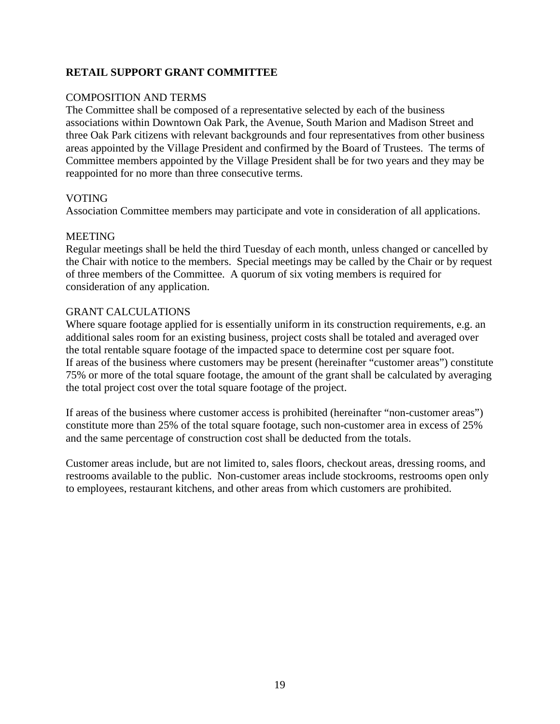# **RETAIL SUPPORT GRANT COMMITTEE**

#### COMPOSITION AND TERMS

The Committee shall be composed of a representative selected by each of the business associations within Downtown Oak Park, the Avenue, South Marion and Madison Street and three Oak Park citizens with relevant backgrounds and four representatives from other business areas appointed by the Village President and confirmed by the Board of Trustees. The terms of Committee members appointed by the Village President shall be for two years and they may be reappointed for no more than three consecutive terms.

### VOTING

Association Committee members may participate and vote in consideration of all applications.

#### MEETING

Regular meetings shall be held the third Tuesday of each month, unless changed or cancelled by the Chair with notice to the members. Special meetings may be called by the Chair or by request of three members of the Committee. A quorum of six voting members is required for consideration of any application.

### GRANT CALCULATIONS

Where square footage applied for is essentially uniform in its construction requirements, e.g. an additional sales room for an existing business, project costs shall be totaled and averaged over the total rentable square footage of the impacted space to determine cost per square foot. If areas of the business where customers may be present (hereinafter "customer areas") constitute 75% or more of the total square footage, the amount of the grant shall be calculated by averaging the total project cost over the total square footage of the project.

If areas of the business where customer access is prohibited (hereinafter "non-customer areas") constitute more than 25% of the total square footage, such non-customer area in excess of 25% and the same percentage of construction cost shall be deducted from the totals.

Customer areas include, but are not limited to, sales floors, checkout areas, dressing rooms, and restrooms available to the public. Non-customer areas include stockrooms, restrooms open only to employees, restaurant kitchens, and other areas from which customers are prohibited.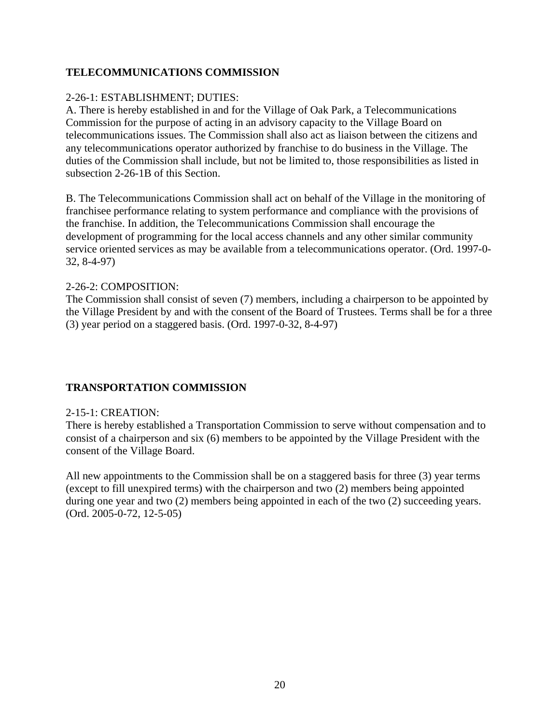# **TELECOMMUNICATIONS COMMISSION**

# 2-26-1: ESTABLISHMENT; DUTIES:

A. There is hereby established in and for the Village of Oak Park, a Telecommunications Commission for the purpose of acting in an advisory capacity to the Village Board on telecommunications issues. The Commission shall also act as liaison between the citizens and any telecommunications operator authorized by franchise to do business in the Village. The duties of the Commission shall include, but not be limited to, those responsibilities as listed in subsection 2-26-1B of this Section.

B. The Telecommunications Commission shall act on behalf of the Village in the monitoring of franchisee performance relating to system performance and compliance with the provisions of the franchise. In addition, the Telecommunications Commission shall encourage the development of programming for the local access channels and any other similar community service oriented services as may be available from a telecommunications operator. (Ord. 1997-0- 32, 8-4-97)

### 2-26-2: COMPOSITION:

The Commission shall consist of seven (7) members, including a chairperson to be appointed by the Village President by and with the consent of the Board of Trustees. Terms shall be for a three (3) year period on a staggered basis. (Ord. 1997-0-32, 8-4-97)

# **TRANSPORTATION COMMISSION**

#### 2-15-1: CREATION:

There is hereby established a Transportation Commission to serve without compensation and to consist of a chairperson and six (6) members to be appointed by the Village President with the consent of the Village Board.

All new appointments to the Commission shall be on a staggered basis for three (3) year terms (except to fill unexpired terms) with the chairperson and two (2) members being appointed during one year and two (2) members being appointed in each of the two (2) succeeding years. (Ord. 2005-0-72, 12-5-05)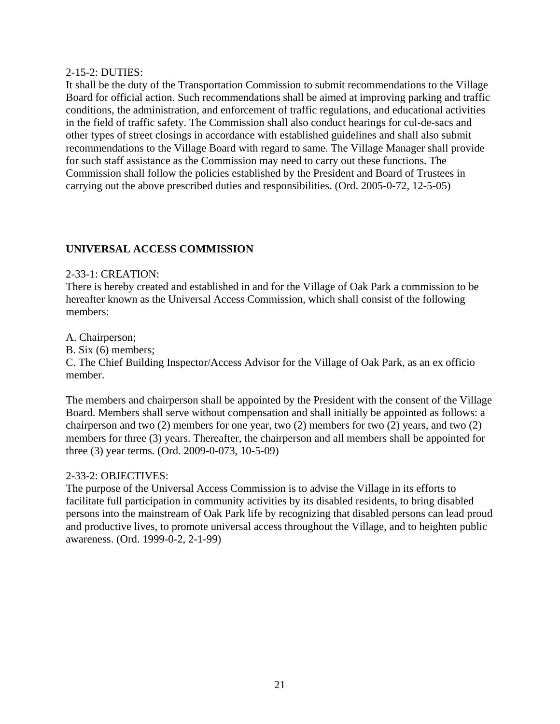#### 2-15-2: DUTIES:

It shall be the duty of the Transportation Commission to submit recommendations to the Village Board for official action. Such recommendations shall be aimed at improving parking and traffic conditions, the administration, and enforcement of traffic regulations, and educational activities in the field of traffic safety. The Commission shall also conduct hearings for cul-de-sacs and other types of street closings in accordance with established guidelines and shall also submit recommendations to the Village Board with regard to same. The Village Manager shall provide for such staff assistance as the Commission may need to carry out these functions. The Commission shall follow the policies established by the President and Board of Trustees in carrying out the above prescribed duties and responsibilities. (Ord. 2005-0-72, 12-5-05)

# **UNIVERSAL ACCESS COMMISSION**

#### 2-33-1: CREATION:

There is hereby created and established in and for the Village of Oak Park a commission to be hereafter known as the Universal Access Commission, which shall consist of the following members:

A. Chairperson;

B. Six (6) members;

C. The Chief Building Inspector/Access Advisor for the Village of Oak Park, as an ex officio member.

The members and chairperson shall be appointed by the President with the consent of the Village Board. Members shall serve without compensation and shall initially be appointed as follows: a chairperson and two (2) members for one year, two (2) members for two (2) years, and two (2) members for three (3) years. Thereafter, the chairperson and all members shall be appointed for three (3) year terms. (Ord. 2009-0-073, 10-5-09)

#### 2-33-2: OBJECTIVES:

The purpose of the Universal Access Commission is to advise the Village in its efforts to facilitate full participation in community activities by its disabled residents, to bring disabled persons into the mainstream of Oak Park life by recognizing that disabled persons can lead proud and productive lives, to promote universal access throughout the Village, and to heighten public awareness. (Ord. 1999-0-2, 2-1-99)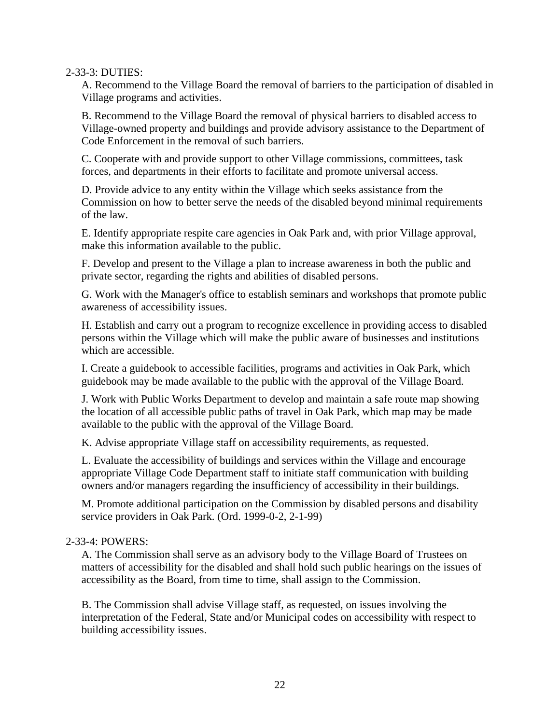2-33-3: DUTIES:

A. Recommend to the Village Board the removal of barriers to the participation of disabled in Village programs and activities.

B. Recommend to the Village Board the removal of physical barriers to disabled access to Village-owned property and buildings and provide advisory assistance to the Department of Code Enforcement in the removal of such barriers.

C. Cooperate with and provide support to other Village commissions, committees, task forces, and departments in their efforts to facilitate and promote universal access.

D. Provide advice to any entity within the Village which seeks assistance from the Commission on how to better serve the needs of the disabled beyond minimal requirements of the law.

E. Identify appropriate respite care agencies in Oak Park and, with prior Village approval, make this information available to the public.

F. Develop and present to the Village a plan to increase awareness in both the public and private sector, regarding the rights and abilities of disabled persons.

G. Work with the Manager's office to establish seminars and workshops that promote public awareness of accessibility issues.

H. Establish and carry out a program to recognize excellence in providing access to disabled persons within the Village which will make the public aware of businesses and institutions which are accessible.

I. Create a guidebook to accessible facilities, programs and activities in Oak Park, which guidebook may be made available to the public with the approval of the Village Board.

J. Work with Public Works Department to develop and maintain a safe route map showing the location of all accessible public paths of travel in Oak Park, which map may be made available to the public with the approval of the Village Board.

K. Advise appropriate Village staff on accessibility requirements, as requested.

L. Evaluate the accessibility of buildings and services within the Village and encourage appropriate Village Code Department staff to initiate staff communication with building owners and/or managers regarding the insufficiency of accessibility in their buildings.

M. Promote additional participation on the Commission by disabled persons and disability service providers in Oak Park. (Ord. 1999-0-2, 2-1-99)

# 2-33-4: POWERS:

A. The Commission shall serve as an advisory body to the Village Board of Trustees on matters of accessibility for the disabled and shall hold such public hearings on the issues of accessibility as the Board, from time to time, shall assign to the Commission.

B. The Commission shall advise Village staff, as requested, on issues involving the interpretation of the Federal, State and/or Municipal codes on accessibility with respect to building accessibility issues.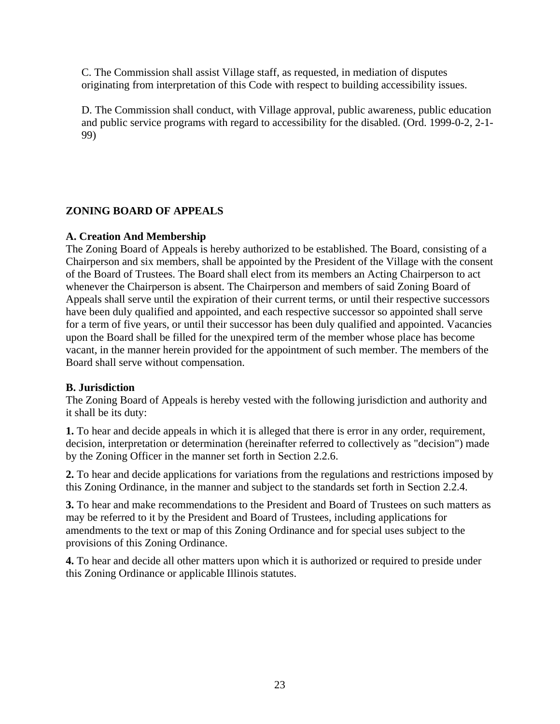C. The Commission shall assist Village staff, as requested, in mediation of disputes originating from interpretation of this Code with respect to building accessibility issues.

D. The Commission shall conduct, with Village approval, public awareness, public education and public service programs with regard to accessibility for the disabled. (Ord. 1999-0-2, 2-1- 99)

# **ZONING BOARD OF APPEALS**

# **A. Creation And Membership**

The Zoning Board of Appeals is hereby authorized to be established. The Board, consisting of a Chairperson and six members, shall be appointed by the President of the Village with the consent of the Board of Trustees. The Board shall elect from its members an Acting Chairperson to act whenever the Chairperson is absent. The Chairperson and members of said Zoning Board of Appeals shall serve until the expiration of their current terms, or until their respective successors have been duly qualified and appointed, and each respective successor so appointed shall serve for a term of five years, or until their successor has been duly qualified and appointed. Vacancies upon the Board shall be filled for the unexpired term of the member whose place has become vacant, in the manner herein provided for the appointment of such member. The members of the Board shall serve without compensation.

# **B. Jurisdiction**

The Zoning Board of Appeals is hereby vested with the following jurisdiction and authority and it shall be its duty:

**1.** To hear and decide appeals in which it is alleged that there is error in any order, requirement, decision, interpretation or determination (hereinafter referred to collectively as "decision") made by the Zoning Officer in the manner set forth in Section 2.2.6.

**2.** To hear and decide applications for variations from the regulations and restrictions imposed by this Zoning Ordinance, in the manner and subject to the standards set forth in Section 2.2.4.

**3.** To hear and make recommendations to the President and Board of Trustees on such matters as may be referred to it by the President and Board of Trustees, including applications for amendments to the text or map of this Zoning Ordinance and for special uses subject to the provisions of this Zoning Ordinance.

**4.** To hear and decide all other matters upon which it is authorized or required to preside under this Zoning Ordinance or applicable Illinois statutes.